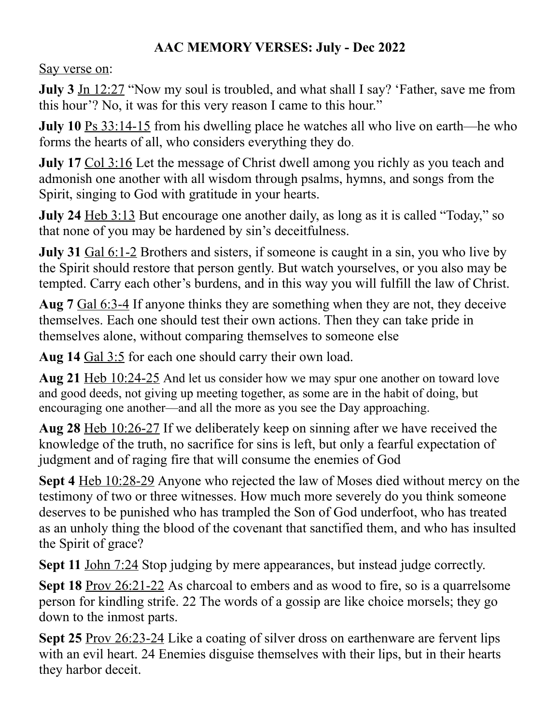## **AAC MEMORY VERSES: July - Dec 2022**

Say verse on:

**July 3** Jn 12:27 "Now my soul is troubled, and what shall I say? 'Father, save me from this hour'? No, it was for this very reason I came to this hour."

**July 10** Ps 33:14-15 from his dwelling place he watches all who live on earth—he who forms the hearts of all, who considers everything they do.

**July 17** Col 3:16 Let the message of Christ dwell among you richly as you teach and admonish one another with all wisdom through psalms, hymns, and songs from the Spirit, singing to God with gratitude in your hearts.

**July 24** Heb 3:13 But encourage one another daily, as long as it is called "Today," so that none of you may be hardened by sin's deceitfulness.

**July 31** Gal 6:1-2 Brothers and sisters, if someone is caught in a sin, you who live by the Spirit should restore that person gently. But watch yourselves, or you also may be tempted. Carry each other's burdens, and in this way you will fulfill the law of Christ.

**Aug 7** Gal 6:3-4 If anyone thinks they are something when they are not, they deceive themselves. Each one should test their own actions. Then they can take pride in themselves alone, without comparing themselves to someone else

**Aug 14** Gal 3:5 for each one should carry their own load.

**Aug 21** Heb 10:24-25 And let us consider how we may spur one another on toward love and good deeds, not giving up meeting together, as some are in the habit of doing, but encouraging one another—and all the more as you see the Day approaching.

**Aug 28** Heb 10:26-27 If we deliberately keep on sinning after we have received the knowledge of the truth, no sacrifice for sins is left, but only a fearful expectation of judgment and of raging fire that will consume the enemies of God

**Sept 4** Heb 10:28-29 Anyone who rejected the law of Moses died without mercy on the testimony of two or three witnesses. How much more severely do you think someone deserves to be punished who has trampled the Son of God underfoot, who has treated as an unholy thing the blood of the covenant that sanctified them, and who has insulted the Spirit of grace?

**Sept 11** John 7:24 Stop judging by mere appearances, but instead judge correctly.

**Sept 18** Prov 26:21-22 As charcoal to embers and as wood to fire, so is a quarrelsome person for kindling strife. 22 The words of a gossip are like choice morsels; they go down to the inmost parts.

**Sept 25** Prov 26:23-24 Like a coating of silver dross on earthenware are fervent lips with an evil heart. 24 Enemies disguise themselves with their lips, but in their hearts they harbor deceit.